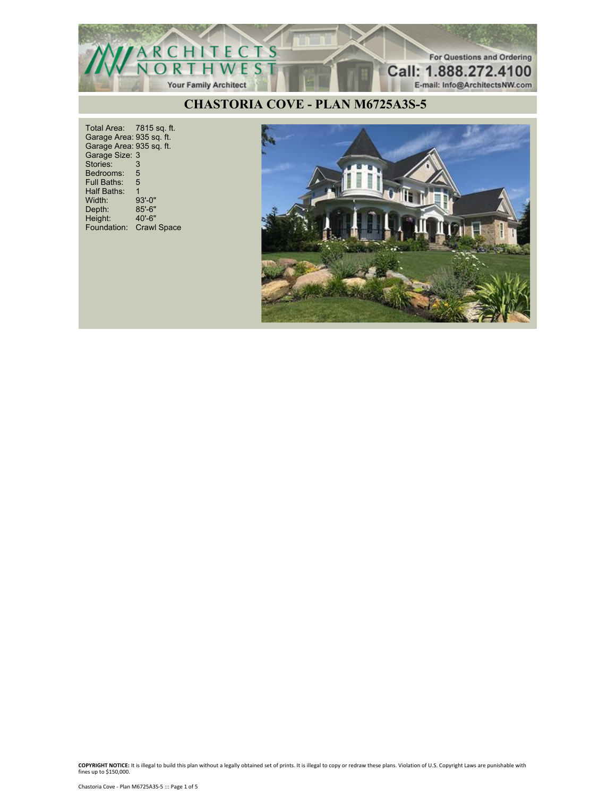

Total Area: 7815 sq. ft. Garage Area: 935 sq. ft. Garage Area: 935 sq. ft. Garage Size: 3 Stories: 3 Bedrooms: 5<br>Full Baths: 5 Full Baths: 5 Half Baths: 1 Width: 93'-0"<br>Depth: 85'-6" Depth: 85'-6" Height: 40'-6" Foundation: Crawl Space

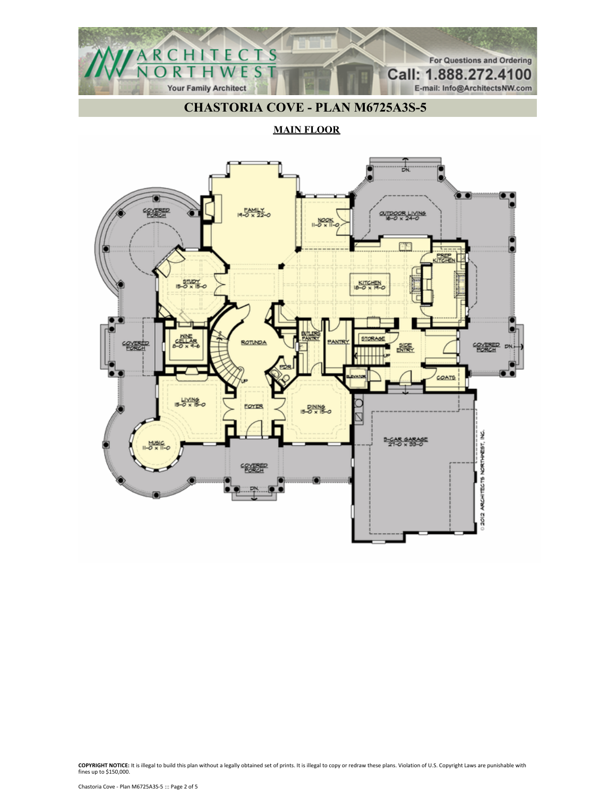

**MAIN FLOOR**

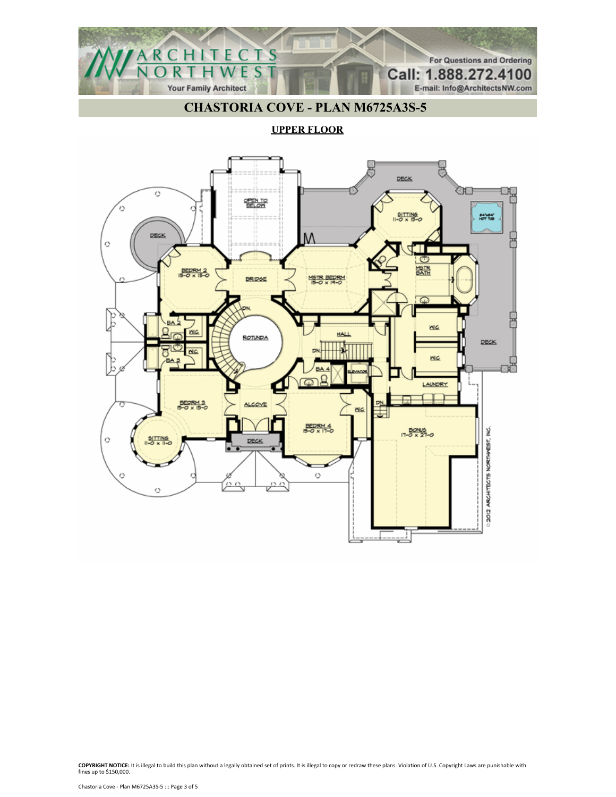

**UPPER FLOOR**

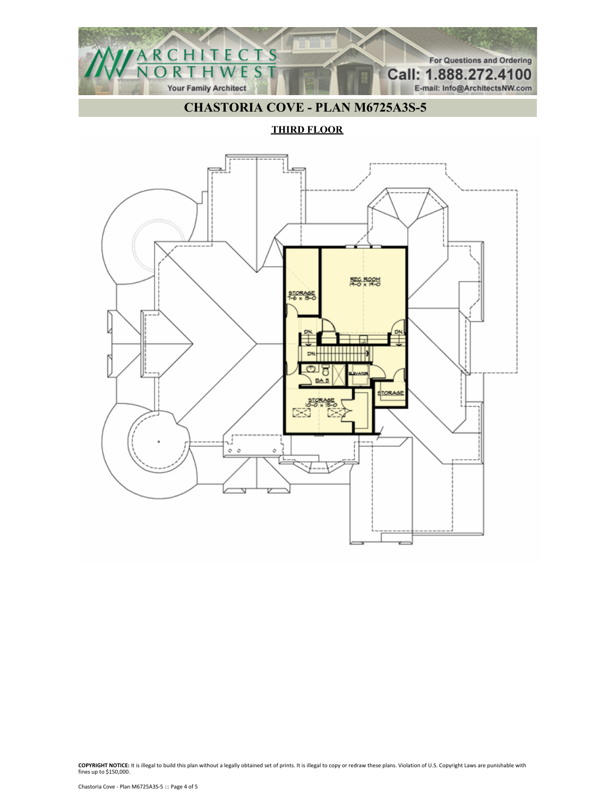

**THIRD FLOOR**